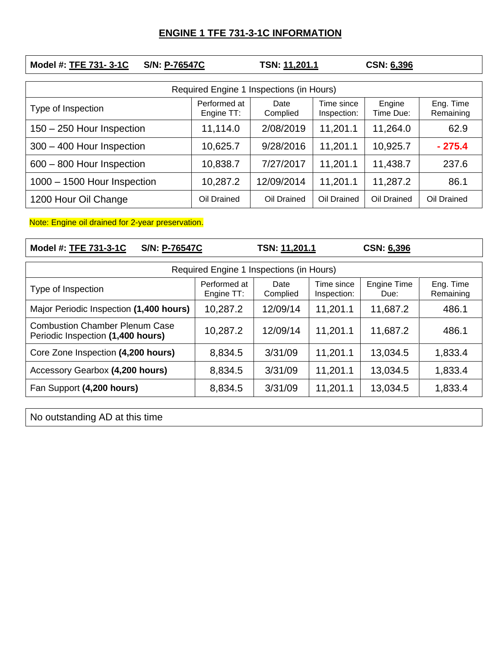## **ENGINE 1 TFE 731-3-1C INFORMATION**

| Model #: TFE 731-3-1C<br>S/N: P-76547C   |                            | TSN: 11,201.1    |                           | CSN: 6,396          |                        |  |  |  |
|------------------------------------------|----------------------------|------------------|---------------------------|---------------------|------------------------|--|--|--|
| Required Engine 1 Inspections (in Hours) |                            |                  |                           |                     |                        |  |  |  |
| Type of Inspection                       | Performed at<br>Engine TT: | Date<br>Complied | Time since<br>Inspection: | Engine<br>Time Due: | Eng. Time<br>Remaining |  |  |  |
| 150 - 250 Hour Inspection                | 11,114.0                   | 2/08/2019        | 11,201.1                  | 11,264.0            | 62.9                   |  |  |  |
| 300 - 400 Hour Inspection                | 10,625.7                   | 9/28/2016        | 11,201.1                  | 10,925.7            | $-275.4$               |  |  |  |
| 600 - 800 Hour Inspection                | 10,838.7                   | 7/27/2017        | 11,201.1                  | 11,438.7            | 237.6                  |  |  |  |
| 1000 - 1500 Hour Inspection              | 10,287.2                   | 12/09/2014       | 11,201.1                  | 11,287.2            | 86.1                   |  |  |  |
| 1200 Hour Oil Change                     | Oil Drained                | Oil Drained      | Oil Drained               | Oil Drained         | Oil Drained            |  |  |  |

Note: Engine oil drained for 2-year preservation.

**Model #: TFE 731-3-1C S/N: P-76547C TSN: 11,201.1 CSN: 6,396**

| Required Engine 1 Inspections (in Hours)                                   |                            |                  |                           |                     |                        |  |  |  |
|----------------------------------------------------------------------------|----------------------------|------------------|---------------------------|---------------------|------------------------|--|--|--|
| Type of Inspection                                                         | Performed at<br>Engine TT: | Date<br>Complied | Time since<br>Inspection: | Engine Time<br>Due: | Eng. Time<br>Remaining |  |  |  |
| Major Periodic Inspection (1,400 hours)                                    | 10,287.2                   | 12/09/14         | 11,201.1                  | 11,687.2            | 486.1                  |  |  |  |
| <b>Combustion Chamber Plenum Case</b><br>Periodic Inspection (1,400 hours) | 10,287.2                   | 12/09/14         | 11,201.1                  | 11,687.2            | 486.1                  |  |  |  |
| Core Zone Inspection (4,200 hours)                                         | 8,834.5                    | 3/31/09          | 11,201.1                  | 13,034.5            | 1,833.4                |  |  |  |
| Accessory Gearbox (4,200 hours)                                            | 8,834.5                    | 3/31/09          | 11,201.1                  | 13,034.5            | 1,833.4                |  |  |  |
| Fan Support (4,200 hours)                                                  | 8,834.5                    | 3/31/09          | 11,201.1                  | 13,034.5            | 1,833.4                |  |  |  |

No outstanding AD at this time